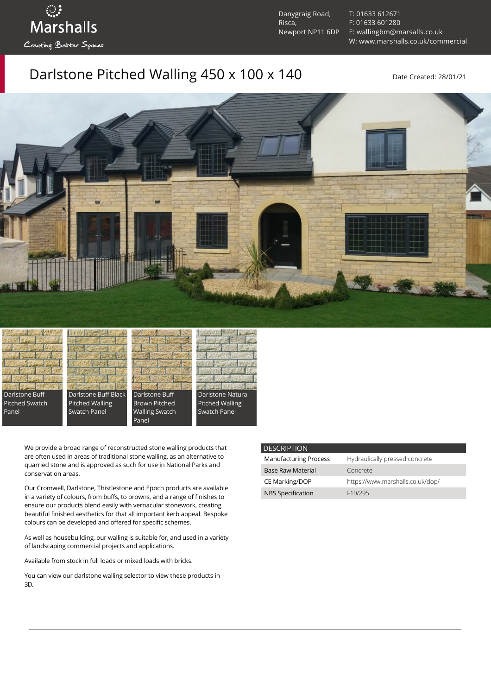ुः<br>Marshalls Creating Better Spaces

Danygraig Road, Risca, Newport NP11 6DP [T: 01633 612671](tel:01633%20612671) [F: 01633 601280](tel:01633%20601280) [E: wallingbm@marsalls.co.uk](mailto:wallingbm@marsalls.co.uk) [W: www.marshalls.co.uk/commercial](https://www.marshalls.co.uk/commercial)

### Darlstone Pitched Walling 450 x 100 x 140 Date Created: 28/01/21









Panel



We provide a broad range of reconstructed stone walling products that are often used in areas of traditional stone walling, as an alternative to quarried stone and is approved as such for use in National Parks and conservation areas.

Our [Cromwell](https://www.marshalls.co.uk/commercial/product/cromwell-stone-walling), Darlstone, [Thistlestone](https://www.marshalls.co.uk/commercial/product/thistlestone-stone-walling) and Epoch products are available in a variety of colours, from buffs, to browns, and a range of finishes to ensure our products blend easily with vernacular stonework, creating beautiful finished aesthetics for that all important kerb appeal. Bespoke colours can be developed and offered for specific schemes.

As well as housebuilding, our walling is suitable for, and used in a variety of landscaping commercial projects and applications.

Available from stock in full loads or mixed loads with bricks.

You can view our [darlstone walling selector](https://www.paverpicker.com/paverpicker/?u=edenhall&cat=walling&subcat=darlstone_walling) to view these products in 3D.

#### **DESCRIPTION**

| <b>Manufacturing Process</b> | Hydraulically pressed concrete   |
|------------------------------|----------------------------------|
| <b>Base Raw Material</b>     | Concrete                         |
| CE Marking/DOP               | https://www.marshalls.co.uk/dop/ |
| <b>NBS Specification</b>     | F <sub>10</sub> /295             |